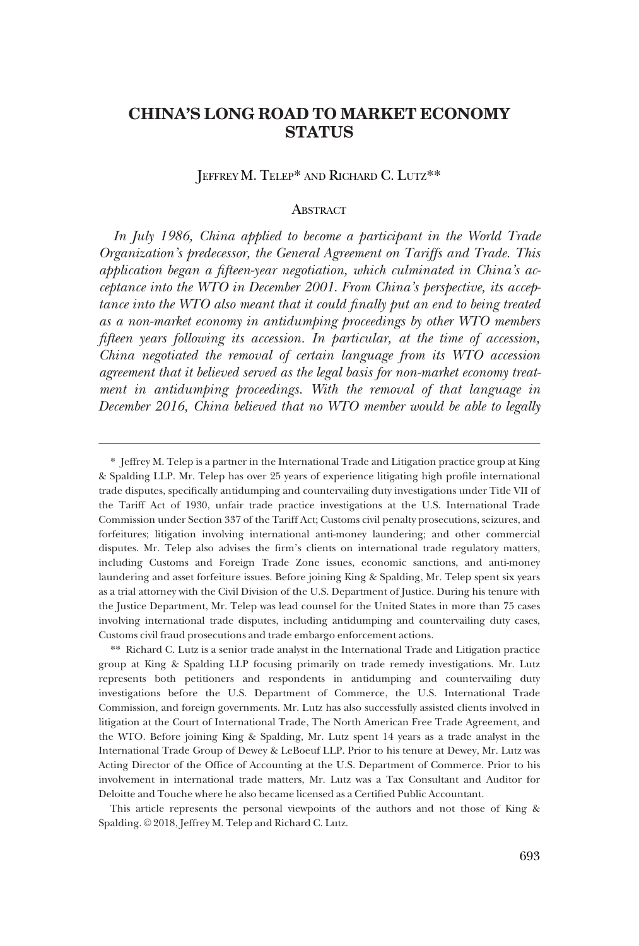### JEFFREY M. TELEP\* AND RICHARD C. LUTZ\*\*

# **ABSTRACT**

*In July 1986, China applied to become a participant in the World Trade Organization's predecessor, the General Agreement on Tariffs and Trade. This application began a fifteen-year negotiation, which culminated in China's acceptance into the WTO in December 2001. From China's perspective, its acceptance into the WTO also meant that it could finally put an end to being treated as a non-market economy in antidumping proceedings by other WTO members fifteen years following its accession. In particular, at the time of accession, China negotiated the removal of certain language from its WTO accession agreement that it believed served as the legal basis for non-market economy treatment in antidumping proceedings. With the removal of that language in December 2016, China believed that no WTO member would be able to legally* 

This article represents the personal viewpoints of the authors and not those of King & Spalding. © 2018, Jeffrey M. Telep and Richard C. Lutz.

<sup>\*</sup> Jeffrey M. Telep is a partner in the International Trade and Litigation practice group at King & Spalding LLP. Mr. Telep has over 25 years of experience litigating high profile international trade disputes, specifically antidumping and countervailing duty investigations under Title VII of the Tariff Act of 1930, unfair trade practice investigations at the U.S. International Trade Commission under Section 337 of the Tariff Act; Customs civil penalty prosecutions, seizures, and forfeitures; litigation involving international anti-money laundering; and other commercial disputes. Mr. Telep also advises the firm's clients on international trade regulatory matters, including Customs and Foreign Trade Zone issues, economic sanctions, and anti-money laundering and asset forfeiture issues. Before joining King & Spalding, Mr. Telep spent six years as a trial attorney with the Civil Division of the U.S. Department of Justice. During his tenure with the Justice Department, Mr. Telep was lead counsel for the United States in more than 75 cases involving international trade disputes, including antidumping and countervailing duty cases, Customs civil fraud prosecutions and trade embargo enforcement actions.

<sup>\*\*</sup> Richard C. Lutz is a senior trade analyst in the International Trade and Litigation practice group at King & Spalding LLP focusing primarily on trade remedy investigations. Mr. Lutz represents both petitioners and respondents in antidumping and countervailing duty investigations before the U.S. Department of Commerce, the U.S. International Trade Commission, and foreign governments. Mr. Lutz has also successfully assisted clients involved in litigation at the Court of International Trade, The North American Free Trade Agreement, and the WTO. Before joining King & Spalding, Mr. Lutz spent 14 years as a trade analyst in the International Trade Group of Dewey & LeBoeuf LLP. Prior to his tenure at Dewey, Mr. Lutz was Acting Director of the Office of Accounting at the U.S. Department of Commerce. Prior to his involvement in international trade matters, Mr. Lutz was a Tax Consultant and Auditor for Deloitte and Touche where he also became licensed as a Certified Public Accountant.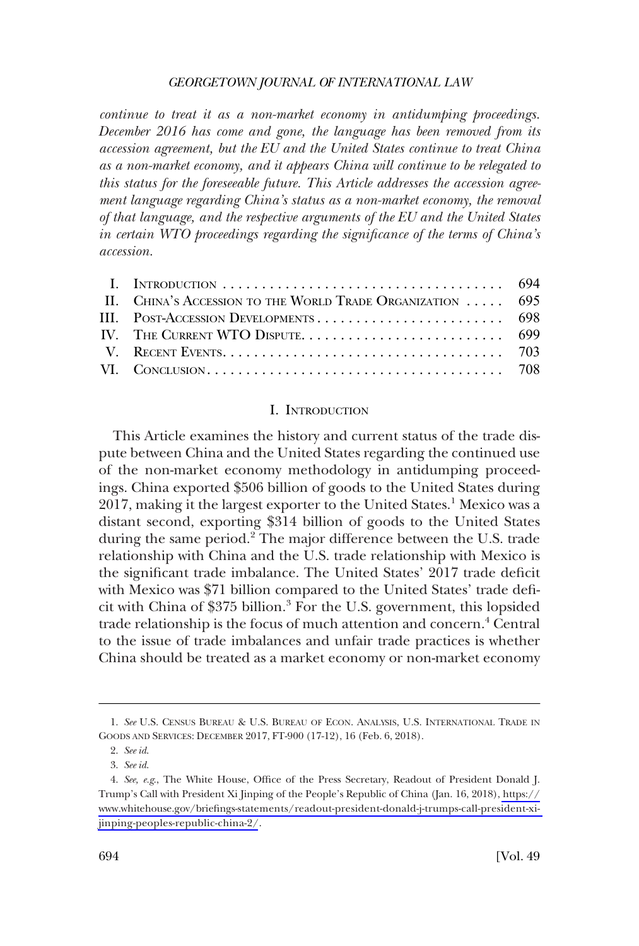*continue to treat it as a non-market economy in antidumping proceedings. December 2016 has come and gone, the language has been removed from its accession agreement, but the EU and the United States continue to treat China as a non-market economy, and it appears China will continue to be relegated to this status for the foreseeable future. This Article addresses the accession agreement language regarding China's status as a non-market economy, the removal of that language, and the respective arguments of the EU and the United States in certain WTO proceedings regarding the significance of the terms of China's accession.* 

| II. CHINA'S ACCESSION TO THE WORLD TRADE ORGANIZATION  695 |  |
|------------------------------------------------------------|--|
|                                                            |  |
|                                                            |  |
|                                                            |  |
|                                                            |  |

#### I. INTRODUCTION

This Article examines the history and current status of the trade dispute between China and the United States regarding the continued use of the non-market economy methodology in antidumping proceedings. China exported \$506 billion of goods to the United States during 2017, making it the largest exporter to the United States.<sup>1</sup> Mexico was a distant second, exporting \$314 billion of goods to the United States during the same period.<sup>2</sup> The major difference between the U.S. trade relationship with China and the U.S. trade relationship with Mexico is the significant trade imbalance. The United States' 2017 trade deficit with Mexico was \$71 billion compared to the United States' trade deficit with China of \$375 billion.3 For the U.S. government, this lopsided trade relationship is the focus of much attention and concern.<sup>4</sup> Central to the issue of trade imbalances and unfair trade practices is whether China should be treated as a market economy or non-market economy

<sup>1.</sup> *See* U.S. CENSUS BUREAU & U.S. BUREAU OF ECON. ANALYSIS, U.S. INTERNATIONAL TRADE IN GOODS AND SERVICES: DECEMBER 2017, FT-900 (17-12), 16 (Feb. 6, 2018).

<sup>2.</sup> *See id*.

<sup>3.</sup> *See id*.

*See, e.g*., The White House, Office of the Press Secretary, Readout of President Donald J. 4. Trump's Call with President Xi Jinping of the People's Republic of China (Jan. 16, 2018), [https://](https://www.whitehouse.gov/briefings-statements/readout-president-donald-j-trumps-call-president-xi-jinping-peoples-republic-china-2/)  [www.whitehouse.gov/briefings-statements/readout-president-donald-j-trumps-call-president-xi](https://www.whitehouse.gov/briefings-statements/readout-president-donald-j-trumps-call-president-xi-jinping-peoples-republic-china-2/)[jinping-peoples-republic-china-2/](https://www.whitehouse.gov/briefings-statements/readout-president-donald-j-trumps-call-president-xi-jinping-peoples-republic-china-2/).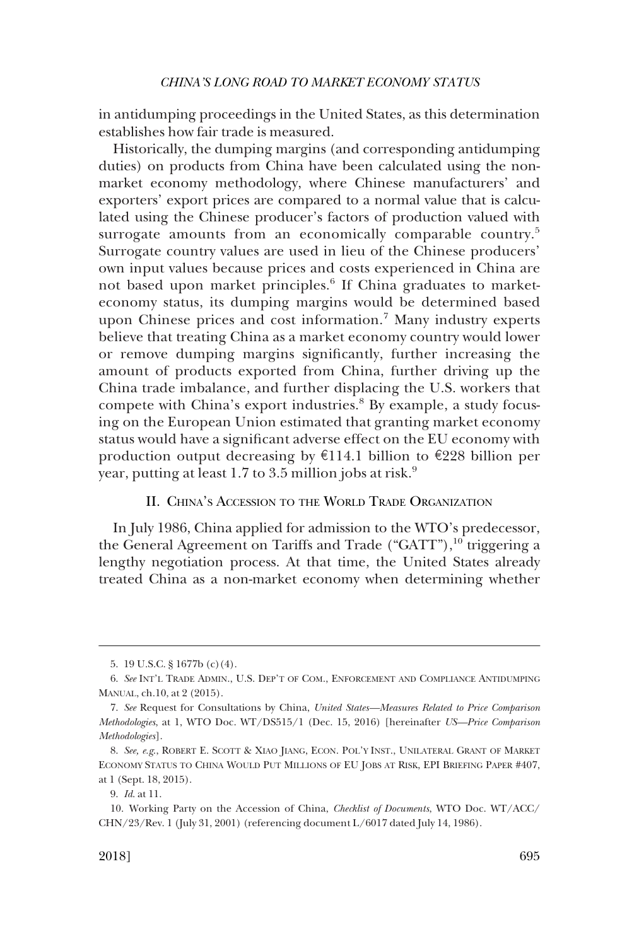<span id="page-2-0"></span>in antidumping proceedings in the United States, as this determination establishes how fair trade is measured.

Historically, the dumping margins (and corresponding antidumping duties) on products from China have been calculated using the nonmarket economy methodology, where Chinese manufacturers' and exporters' export prices are compared to a normal value that is calculated using the Chinese producer's factors of production valued with surrogate amounts from an economically comparable country.<sup>5</sup> Surrogate country values are used in lieu of the Chinese producers' own input values because prices and costs experienced in China are not based upon market principles.<sup>6</sup> If China graduates to marketeconomy status, its dumping margins would be determined based upon Chinese prices and cost information.<sup>7</sup> Many industry experts believe that treating China as a market economy country would lower or remove dumping margins significantly, further increasing the amount of products exported from China, further driving up the China trade imbalance, and further displacing the U.S. workers that compete with China's export industries.<sup>8</sup> By example, a study focusing on the European Union estimated that granting market economy status would have a significant adverse effect on the EU economy with production output decreasing by  $\epsilon$ 114.1 billion to  $\epsilon$ 228 billion per year, putting at least 1.7 to 3.5 million jobs at risk.<sup>9</sup>

### II. CHINA'S ACCESSION TO THE WORLD TRADE ORGANIZATION

In July 1986, China applied for admission to the WTO's predecessor, the General Agreement on Tariffs and Trade ("GATT"),<sup>10</sup> triggering a lengthy negotiation process. At that time, the United States already treated China as a non-market economy when determining whether

<sup>5. 19</sup> U.S.C. § 1677b (c)(4).

<sup>6.</sup> *See* INT'L TRADE ADMIN., U.S. DEP'T OF COM., ENFORCEMENT AND COMPLIANCE ANTIDUMPING MANUAL, ch.10, at 2 (2015).

<sup>7.</sup> *See* Request for Consultations by China, *United States—Measures Related to Price Comparison Methodologies*, at 1, WTO Doc. WT/DS515/1 (Dec. 15, 2016) [hereinafter *US—Price Comparison Methodologies*].

<sup>8.</sup> *See, e.g*., ROBERT E. SCOTT & XIAO JIANG, ECON. POL'Y INST., UNILATERAL GRANT OF MARKET ECONOMY STATUS TO CHINA WOULD PUT MILLIONS OF EU JOBS AT RISK, EPI BRIEFING PAPER #407, at 1 (Sept. 18, 2015).

<sup>9.</sup> *Id*. at 11.

<sup>10.</sup> Working Party on the Accession of China, *Checklist of Documents*, WTO Doc. WT/ACC/ CHN/23/Rev. 1 (July 31, 2001) (referencing document L/6017 dated July 14, 1986).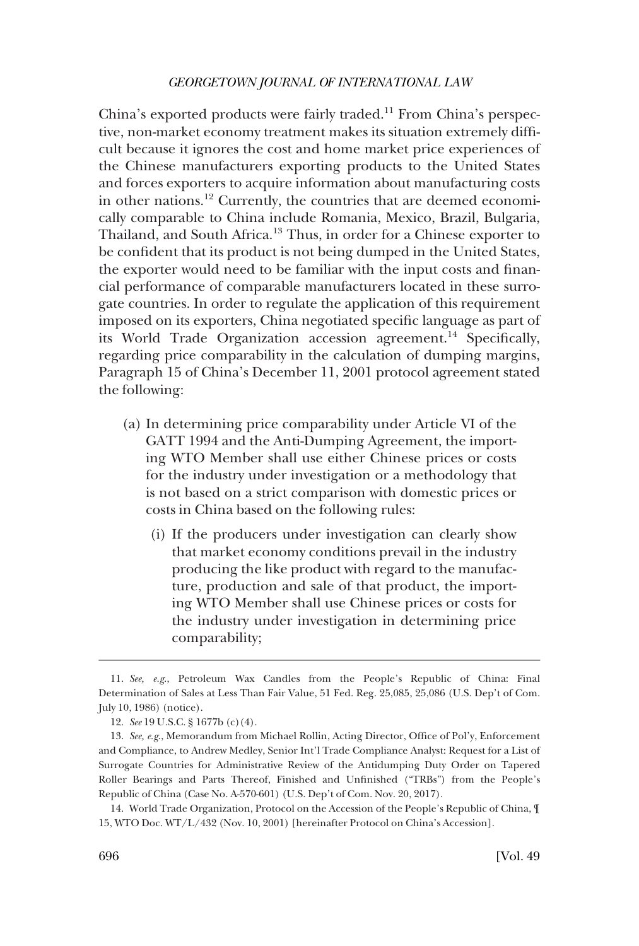China's exported products were fairly traded.<sup>11</sup> From China's perspective, non-market economy treatment makes its situation extremely difficult because it ignores the cost and home market price experiences of the Chinese manufacturers exporting products to the United States and forces exporters to acquire information about manufacturing costs in other nations.12 Currently, the countries that are deemed economically comparable to China include Romania, Mexico, Brazil, Bulgaria, Thailand, and South Africa.13 Thus, in order for a Chinese exporter to be confident that its product is not being dumped in the United States, the exporter would need to be familiar with the input costs and financial performance of comparable manufacturers located in these surrogate countries. In order to regulate the application of this requirement imposed on its exporters, China negotiated specific language as part of its World Trade Organization accession agreement.<sup>14</sup> Specifically, regarding price comparability in the calculation of dumping margins, Paragraph 15 of China's December 11, 2001 protocol agreement stated the following:

- (a) In determining price comparability under Article VI of the GATT 1994 and the Anti-Dumping Agreement, the importing WTO Member shall use either Chinese prices or costs for the industry under investigation or a methodology that is not based on a strict comparison with domestic prices or costs in China based on the following rules:
	- (i) If the producers under investigation can clearly show that market economy conditions prevail in the industry producing the like product with regard to the manufacture, production and sale of that product, the importing WTO Member shall use Chinese prices or costs for the industry under investigation in determining price comparability;

<sup>11.</sup> *See, e.g*., Petroleum Wax Candles from the People's Republic of China: Final Determination of Sales at Less Than Fair Value, 51 Fed. Reg. 25,085, 25,086 (U.S. Dep't of Com. July 10, 1986) (notice).

<sup>12.</sup> *See* 19 U.S.C. § 1677b (c)(4).

<sup>13.</sup> *See, e.g*., Memorandum from Michael Rollin, Acting Director, Office of Pol'y, Enforcement and Compliance, to Andrew Medley, Senior Int'l Trade Compliance Analyst: Request for a List of Surrogate Countries for Administrative Review of the Antidumping Duty Order on Tapered Roller Bearings and Parts Thereof, Finished and Unfinished ("TRBs") from the People's Republic of China (Case No. A-570-601) (U.S. Dep't of Com. Nov. 20, 2017).

<sup>14.</sup> World Trade Organization, Protocol on the Accession of the People's Republic of China, ¶ 15, WTO Doc. WT/L/432 (Nov. 10, 2001) [hereinafter Protocol on China's Accession].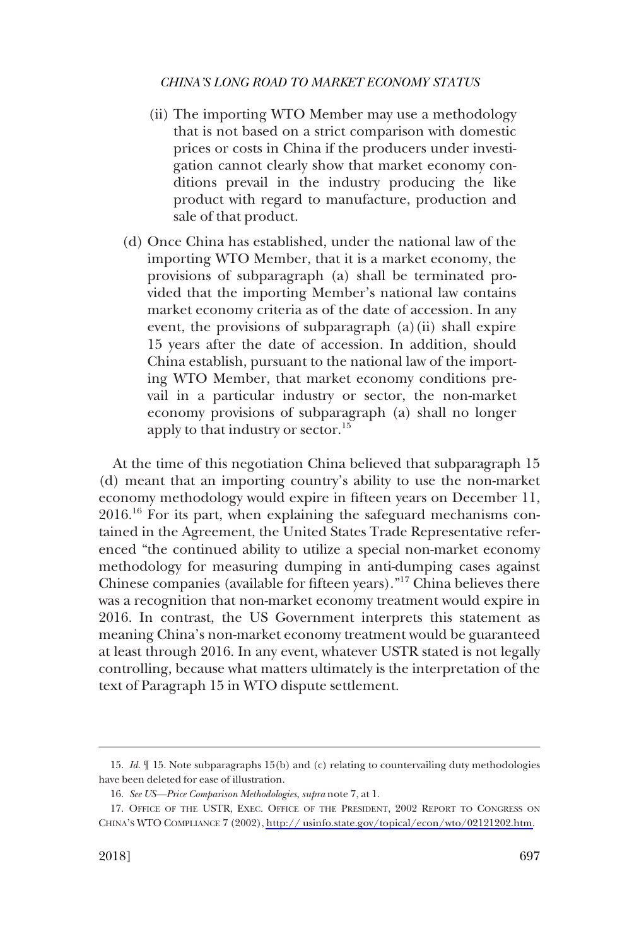- (ii) The importing WTO Member may use a methodology that is not based on a strict comparison with domestic prices or costs in China if the producers under investigation cannot clearly show that market economy conditions prevail in the industry producing the like product with regard to manufacture, production and sale of that product.
- (d) Once China has established, under the national law of the importing WTO Member, that it is a market economy, the provisions of subparagraph (a) shall be terminated provided that the importing Member's national law contains market economy criteria as of the date of accession. In any event, the provisions of subparagraph  $(a)(ii)$  shall expire 15 years after the date of accession. In addition, should China establish, pursuant to the national law of the importing WTO Member, that market economy conditions prevail in a particular industry or sector, the non-market economy provisions of subparagraph (a) shall no longer apply to that industry or sector.<sup>15</sup>

At the time of this negotiation China believed that subparagraph 15 (d) meant that an importing country's ability to use the non-market economy methodology would expire in fifteen years on December 11,  $2016<sup>16</sup>$  For its part, when explaining the safeguard mechanisms contained in the Agreement, the United States Trade Representative referenced "the continued ability to utilize a special non-market economy methodology for measuring dumping in anti-dumping cases against Chinese companies (available for fifteen years)."<sup>17</sup> China believes there was a recognition that non-market economy treatment would expire in 2016. In contrast, the US Government interprets this statement as meaning China's non-market economy treatment would be guaranteed at least through 2016. In any event, whatever USTR stated is not legally controlling, because what matters ultimately is the interpretation of the text of Paragraph 15 in WTO dispute settlement.

<sup>15.</sup> *Id*. ¶ 15. Note subparagraphs 15(b) and (c) relating to countervailing duty methodologies have been deleted for ease of illustration.

<sup>16.</sup> *See US—Price Comparison Methodologies*, *supra* note 7, at 1.

<sup>17.</sup> OFFICE OF THE USTR, EXEC. OFFICE OF THE PRESIDENT, 2002 REPORT TO CONGRESS ON CHINA'S WTO COMPLIANCE 7 (2002), [http:// usinfo.state.gov/topical/econ/wto/02121202.htm.](http://usinfo.state.gov/topical/econ/wto/02121202.htm)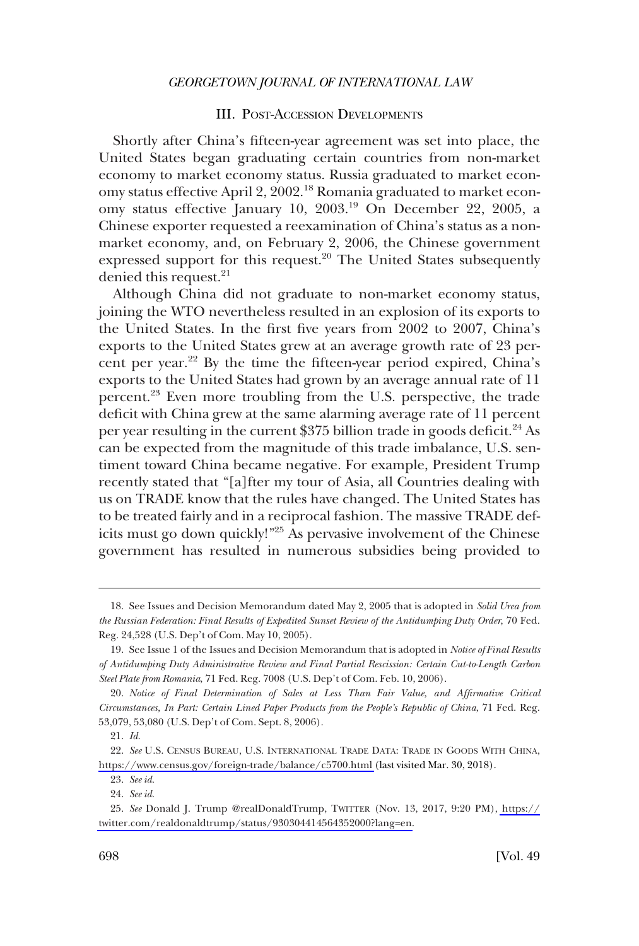### III. POST-ACCESSION DEVELOPMENTS

<span id="page-5-0"></span>Shortly after China's fifteen-year agreement was set into place, the United States began graduating certain countries from non-market economy to market economy status. Russia graduated to market economy status effective April 2, 2002.<sup>18</sup> Romania graduated to market economy status effective January 10, 2003.19 On December 22, 2005, a Chinese exporter requested a reexamination of China's status as a nonmarket economy, and, on February 2, 2006, the Chinese government expressed support for this request.<sup>20</sup> The United States subsequently denied this request.<sup>21</sup>

Although China did not graduate to non-market economy status, joining the WTO nevertheless resulted in an explosion of its exports to the United States. In the first five years from 2002 to 2007, China's exports to the United States grew at an average growth rate of 23 percent per year.<sup>22</sup> By the time the fifteen-year period expired, China's exports to the United States had grown by an average annual rate of 11 percent.23 Even more troubling from the U.S. perspective, the trade deficit with China grew at the same alarming average rate of 11 percent per year resulting in the current  $$375$  billion trade in goods deficit.<sup>24</sup> As can be expected from the magnitude of this trade imbalance, U.S. sentiment toward China became negative. For example, President Trump recently stated that "[a]fter my tour of Asia, all Countries dealing with us on TRADE know that the rules have changed. The United States has to be treated fairly and in a reciprocal fashion. The massive TRADE deficits must go down quickly!"<sup>25</sup> As pervasive involvement of the Chinese government has resulted in numerous subsidies being provided to

<sup>18.</sup> See Issues and Decision Memorandum dated May 2, 2005 that is adopted in *Solid Urea from the Russian Federation: Final Results of Expedited Sunset Review of the Antidumping Duty Order*, 70 Fed. Reg. 24,528 (U.S. Dep't of Com. May 10, 2005).

<sup>19.</sup> See Issue 1 of the Issues and Decision Memorandum that is adopted in *Notice of Final Results of Antidumping Duty Administrative Review and Final Partial Rescission: Certain Cut-to-Length Carbon Steel Plate from Romania*, 71 Fed. Reg. 7008 (U.S. Dep't of Com. Feb. 10, 2006).

<sup>20.</sup> *Notice of Final Determination of Sales at Less Than Fair Value, and Affirmative Critical Circumstances, In Part: Certain Lined Paper Products from the People's Republic of China*, 71 Fed. Reg. 53,079, 53,080 (U.S. Dep't of Com. Sept. 8, 2006).

<sup>21.</sup> *Id*.

<sup>22.</sup> See U.S. CENSUS BUREAU, U.S. INTERNATIONAL TRADE DATA: TRADE IN GOODS WITH CHINA, <https://www.census.gov/foreign-trade/balance/c5700.html>(last visited Mar. 30, 2018).

<sup>23.</sup> *See id*.

<sup>24.</sup> *See id*.

*See* Donald J. Trump @realDonaldTrump, TWITTER (Nov. 13, 2017, 9:20 PM), [https://](https://twitter.com/realdonaldtrump/status/930304414564352000?lang=en) 25. [twitter.com/realdonaldtrump/status/930304414564352000?lang=en.](https://twitter.com/realdonaldtrump/status/930304414564352000?lang=en)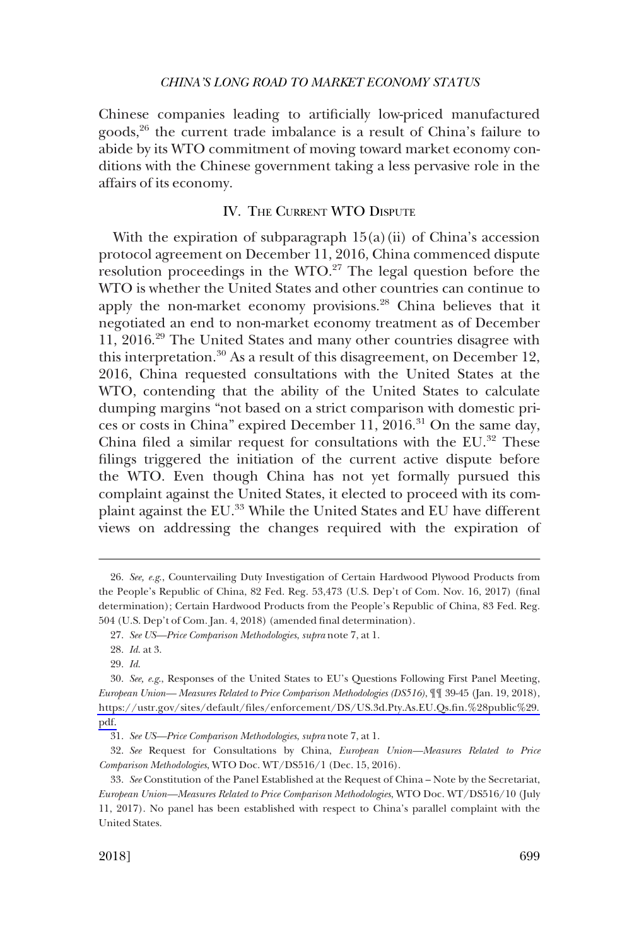<span id="page-6-0"></span>Chinese companies leading to artificially low-priced manufactured goods,<sup>26</sup> the current trade imbalance is a result of China's failure to abide by its WTO commitment of moving toward market economy conditions with the Chinese government taking a less pervasive role in the affairs of its economy.

# IV. THE CURRENT WTO DISPUTE

With the expiration of subparagraph  $15(a)(ii)$  of China's accession protocol agreement on December 11, 2016, China commenced dispute resolution proceedings in the WTO. $27$  The legal question before the WTO is whether the United States and other countries can continue to apply the non-market economy provisions.<sup>28</sup> China believes that it negotiated an end to non-market economy treatment as of December 11, 2016.29 The United States and many other countries disagree with this interpretation.<sup>30</sup> As a result of this disagreement, on December 12, 2016, China requested consultations with the United States at the WTO, contending that the ability of the United States to calculate dumping margins "not based on a strict comparison with domestic prices or costs in China" expired December 11, 2016.<sup>31</sup> On the same day, China filed a similar request for consultations with the EU.<sup>32</sup> These filings triggered the initiation of the current active dispute before the WTO. Even though China has not yet formally pursued this complaint against the United States, it elected to proceed with its complaint against the EU.<sup>33</sup> While the United States and EU have different views on addressing the changes required with the expiration of

<sup>26.</sup> *See, e.g*., Countervailing Duty Investigation of Certain Hardwood Plywood Products from the People's Republic of China, 82 Fed. Reg. 53,473 (U.S. Dep't of Com. Nov. 16, 2017) (final determination); Certain Hardwood Products from the People's Republic of China, 83 Fed. Reg. 504 (U.S. Dep't of Com. Jan. 4, 2018) (amended final determination).

<sup>27.</sup> *See US—Price Comparison Methodologies*, *supra* note 7, at 1.

<sup>28.</sup> *Id*. at 3.

<sup>29.</sup> *Id*.

*See, e.g*., Responses of the United States to EU's Questions Following First Panel Meeting, 30. *European Union— Measures Related to Price Comparison Methodologies (DS516)*, ¶¶ 39-45 (Jan. 19, 2018), [https://ustr.gov/sites/default/files/enforcement/DS/US.3d.Pty.As.EU.Qs.fin.%28public%29.](https://ustr.gov/sites/default/files/enforcement/DS/US.3d.Pty.As.EU.Qs.fin.%28public%29.pdf)  [pdf.](https://ustr.gov/sites/default/files/enforcement/DS/US.3d.Pty.As.EU.Qs.fin.%28public%29.pdf)

<sup>31.</sup> *See US—Price Comparison Methodologies*, *supra* note 7, at 1.

<sup>32.</sup> *See* Request for Consultations by China, *European Union—Measures Related to Price Comparison Methodologies*, WTO Doc. WT/DS516/1 (Dec. 15, 2016).

<sup>33.</sup> *See* Constitution of the Panel Established at the Request of China – Note by the Secretariat, *European Union—Measures Related to Price Comparison Methodologies*, WTO Doc. WT/DS516/10 (July 11, 2017). No panel has been established with respect to China's parallel complaint with the United States.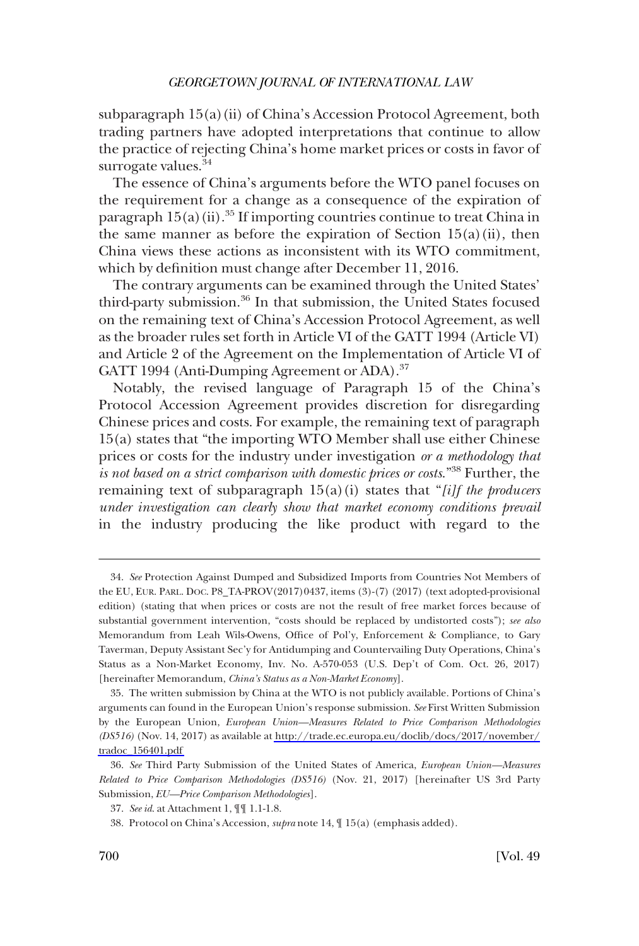subparagraph  $15(a)(ii)$  of China's Accession Protocol Agreement, both trading partners have adopted interpretations that continue to allow the practice of rejecting China's home market prices or costs in favor of surrogate values.<sup>34</sup>

The essence of China's arguments before the WTO panel focuses on the requirement for a change as a consequence of the expiration of paragraph  $15(a)$  (ii).<sup>35</sup> If importing countries continue to treat China in the same manner as before the expiration of Section  $15(a)(ii)$ , then China views these actions as inconsistent with its WTO commitment, which by definition must change after December 11, 2016.

The contrary arguments can be examined through the United States' third-party submission.36 In that submission, the United States focused on the remaining text of China's Accession Protocol Agreement, as well as the broader rules set forth in Article VI of the GATT 1994 (Article VI) and Article 2 of the Agreement on the Implementation of Article VI of GATT 1994 (Anti-Dumping Agreement or ADA).<sup>37</sup>

Notably, the revised language of Paragraph 15 of the China's Protocol Accession Agreement provides discretion for disregarding Chinese prices and costs. For example, the remaining text of paragraph 15(a) states that "the importing WTO Member shall use either Chinese prices or costs for the industry under investigation *or a methodology that is not based on a strict comparison with domestic prices or costs*."38 Further, the remaining text of subparagraph 15(a)(i) states that "*[i]f the producers under investigation can clearly show that market economy conditions prevail*  in the industry producing the like product with regard to the

<sup>34.</sup> *See* Protection Against Dumped and Subsidized Imports from Countries Not Members of the EU, EUR. PARL. DOC. P8\_TA-PROV(2017)0437, items (3)-(7) (2017) (text adopted-provisional edition) (stating that when prices or costs are not the result of free market forces because of substantial government intervention, "costs should be replaced by undistorted costs"); *see also*  Memorandum from Leah Wils-Owens, Office of Pol'y, Enforcement & Compliance, to Gary Taverman, Deputy Assistant Sec'y for Antidumping and Countervailing Duty Operations, China's Status as a Non-Market Economy, Inv. No. A-570-053 (U.S. Dep't of Com. Oct. 26, 2017) [hereinafter Memorandum, *China's Status as a Non-Market Economy*].

The written submission by China at the WTO is not publicly available. Portions of China's 35. arguments can found in the European Union's response submission. *See* First Written Submission by the European Union, *European Union—Measures Related to Price Comparison Methodologies (DS516)* (Nov. 14, 2017) as available at [http://trade.ec.europa.eu/doclib/docs/2017/november/](http://trade.ec.europa.eu/doclib/docs/2017/november/tradoc_156401.pdf)  [tradoc\\_156401.pdf](http://trade.ec.europa.eu/doclib/docs/2017/november/tradoc_156401.pdf)

<sup>36.</sup> *See* Third Party Submission of the United States of America, *European Union—Measures Related to Price Comparison Methodologies (DS516)* (Nov. 21, 2017) [hereinafter US 3rd Party Submission, *EU—Price Comparison Methodologies*].

<sup>37.</sup> *See id*. at Attachment 1, ¶¶ 1.1-1.8.

<sup>38.</sup> Protocol on China's Accession, *supra* note 14, ¶ 15(a) (emphasis added).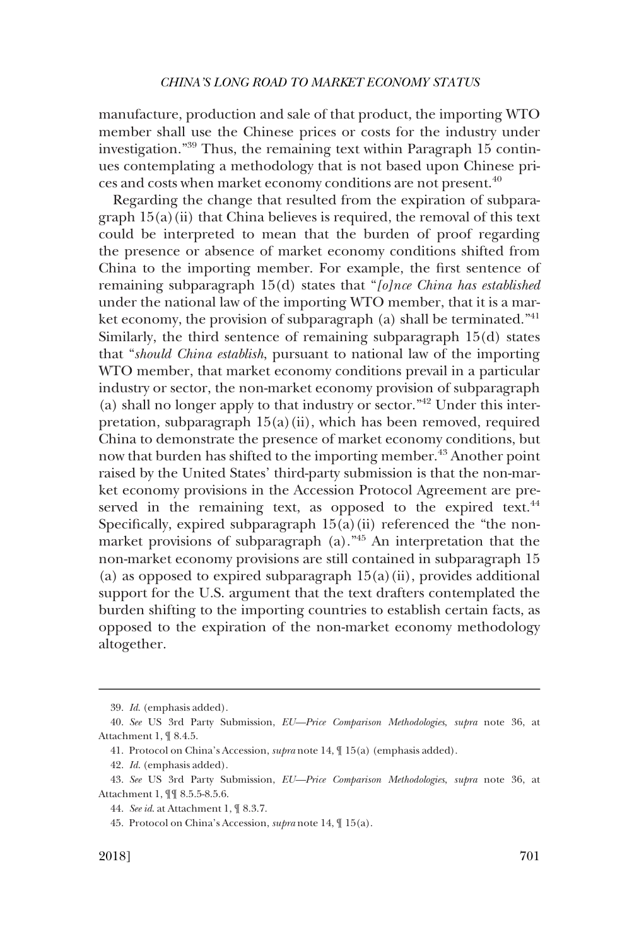manufacture, production and sale of that product, the importing WTO member shall use the Chinese prices or costs for the industry under investigation."39 Thus, the remaining text within Paragraph 15 continues contemplating a methodology that is not based upon Chinese prices and costs when market economy conditions are not present.40

Regarding the change that resulted from the expiration of subparagraph  $15(a)$ (ii) that China believes is required, the removal of this text could be interpreted to mean that the burden of proof regarding the presence or absence of market economy conditions shifted from China to the importing member. For example, the first sentence of remaining subparagraph 15(d) states that "*[o]nce China has established*  under the national law of the importing WTO member, that it is a market economy, the provision of subparagraph  $(a)$  shall be terminated.<sup>"41</sup> Similarly, the third sentence of remaining subparagraph 15(d) states that "*should China establish*, pursuant to national law of the importing WTO member, that market economy conditions prevail in a particular industry or sector, the non-market economy provision of subparagraph (a) shall no longer apply to that industry or sector."42 Under this interpretation, subparagraph 15(a)(ii), which has been removed, required China to demonstrate the presence of market economy conditions, but now that burden has shifted to the importing member.<sup>43</sup> Another point raised by the United States' third-party submission is that the non-market economy provisions in the Accession Protocol Agreement are preserved in the remaining text, as opposed to the expired text.<sup>44</sup> Specifically, expired subparagraph  $15(a)(ii)$  referenced the "the nonmarket provisions of subparagraph (a)."45 An interpretation that the non-market economy provisions are still contained in subparagraph 15 (a) as opposed to expired subparagraph  $15(a)(ii)$ , provides additional support for the U.S. argument that the text drafters contemplated the burden shifting to the importing countries to establish certain facts, as opposed to the expiration of the non-market economy methodology altogether.

<sup>39.</sup> *Id*. (emphasis added).

<sup>40.</sup> *See* US 3rd Party Submission, *EU—Price Comparison Methodologies*, *supra* note 36, at Attachment 1, ¶ 8.4.5.

<sup>41.</sup> Protocol on China's Accession, *supra* note 14, ¶ 15(a) (emphasis added).

<sup>42.</sup> *Id*. (emphasis added).

<sup>43.</sup> *See* US 3rd Party Submission, *EU—Price Comparison Methodologies*, *supra* note 36, at Attachment 1, ¶¶ 8.5.5-8.5.6.

<sup>44.</sup> *See id*. at Attachment 1, ¶ 8.3.7.

<sup>45.</sup> Protocol on China's Accession, *supra* note 14, ¶ 15(a).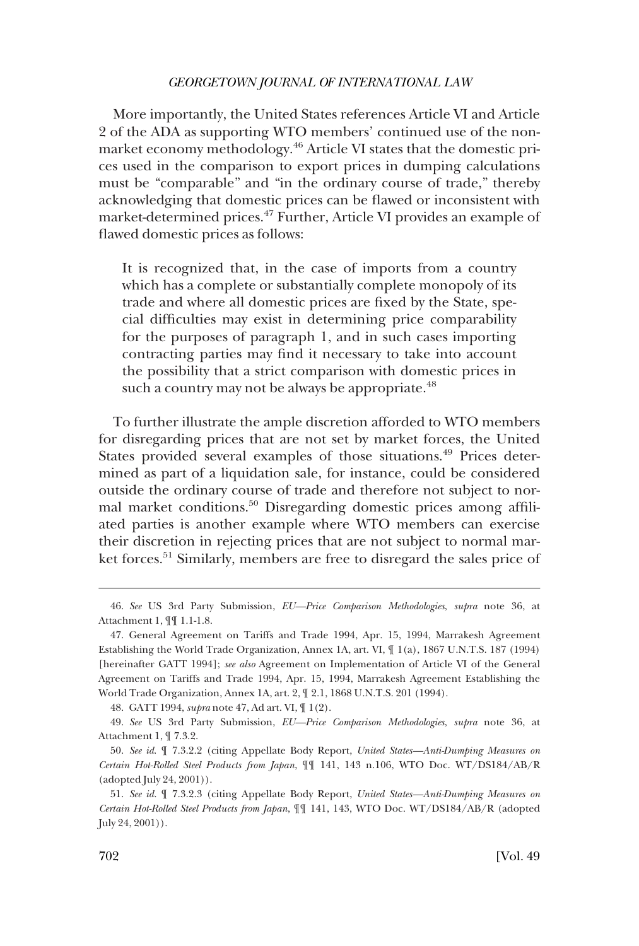More importantly, the United States references Article VI and Article 2 of the ADA as supporting WTO members' continued use of the nonmarket economy methodology.46 Article VI states that the domestic prices used in the comparison to export prices in dumping calculations must be "comparable" and "in the ordinary course of trade," thereby acknowledging that domestic prices can be flawed or inconsistent with market-determined prices.<sup>47</sup> Further, Article VI provides an example of flawed domestic prices as follows:

It is recognized that, in the case of imports from a country which has a complete or substantially complete monopoly of its trade and where all domestic prices are fixed by the State, special difficulties may exist in determining price comparability for the purposes of paragraph 1, and in such cases importing contracting parties may find it necessary to take into account the possibility that a strict comparison with domestic prices in such a country may not be always be appropriate.<sup>48</sup>

To further illustrate the ample discretion afforded to WTO members for disregarding prices that are not set by market forces, the United States provided several examples of those situations.<sup>49</sup> Prices determined as part of a liquidation sale, for instance, could be considered outside the ordinary course of trade and therefore not subject to normal market conditions.50 Disregarding domestic prices among affiliated parties is another example where WTO members can exercise their discretion in rejecting prices that are not subject to normal market forces.<sup>51</sup> Similarly, members are free to disregard the sales price of

48. GATT 1994, *supra* note 47, Ad art. VI, ¶ 1(2).

49. *See* US 3rd Party Submission, *EU—Price Comparison Methodologies*, *supra* note 36, at Attachment 1, ¶ 7.3.2.

<sup>46.</sup> *See* US 3rd Party Submission, *EU—Price Comparison Methodologies*, *supra* note 36, at Attachment 1, ¶¶ 1.1-1.8.

<sup>47.</sup> General Agreement on Tariffs and Trade 1994, Apr. 15, 1994, Marrakesh Agreement Establishing the World Trade Organization, Annex 1A, art. VI, ¶ 1(a), 1867 U.N.T.S. 187 (1994) [hereinafter GATT 1994]; *see also* Agreement on Implementation of Article VI of the General Agreement on Tariffs and Trade 1994, Apr. 15, 1994, Marrakesh Agreement Establishing the World Trade Organization, Annex 1A, art. 2, ¶ 2.1, 1868 U.N.T.S. 201 (1994).

<sup>50.</sup> *See id*. ¶ 7.3.2.2 (citing Appellate Body Report, *United States—Anti-Dumping Measures on Certain Hot-Rolled Steel Products from Japan*, ¶¶ 141, 143 n.106, WTO Doc. WT/DS184/AB/R (adopted July 24, 2001)).

<sup>51.</sup> *See id*. ¶ 7.3.2.3 (citing Appellate Body Report, *United States—Anti-Dumping Measures on Certain Hot-Rolled Steel Products from Japan*, ¶¶ 141, 143, WTO Doc. WT/DS184/AB/R (adopted July 24, 2001)).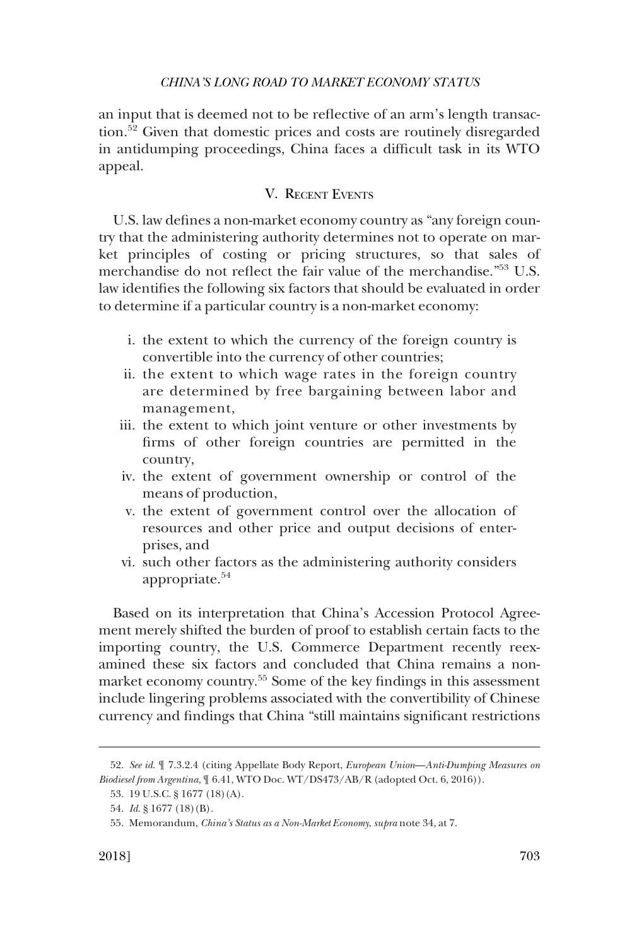<span id="page-10-0"></span>an input that is deemed not to be reflective of an arm's length transaction.52 Given that domestic prices and costs are routinely disregarded in antidumping proceedings, China faces a difficult task in its WTO appeal.

# V. RECENT EVENTS

U.S. law defines a non-market economy country as "any foreign country that the administering authority determines not to operate on market principles of costing or pricing structures, so that sales of merchandise do not reflect the fair value of the merchandise."53 U.S. law identifies the following six factors that should be evaluated in order to determine if a particular country is a non-market economy:

- i. the extent to which the currency of the foreign country is convertible into the currency of other countries;
- ii. the extent to which wage rates in the foreign country are determined by free bargaining between labor and management,
- iii. the extent to which joint venture or other investments by firms of other foreign countries are permitted in the country,
- iv. the extent of government ownership or control of the means of production,
- v. the extent of government control over the allocation of resources and other price and output decisions of enterprises, and
- vi. such other factors as the administering authority considers appropriate.<sup>54</sup>

Based on its interpretation that China's Accession Protocol Agreement merely shifted the burden of proof to establish certain facts to the importing country, the U.S. Commerce Department recently reexamined these six factors and concluded that China remains a nonmarket economy country.<sup>55</sup> Some of the key findings in this assessment include lingering problems associated with the convertibility of Chinese currency and findings that China "still maintains significant restrictions

<sup>52.</sup> *See id*. ¶ 7.3.2.4 (citing Appellate Body Report, *European Union*—*Anti-Dumping Measures on Biodiesel from Argentina*, ¶ 6.41, WTO Doc. WT/DS473/AB/R (adopted Oct. 6, 2016)).

<sup>53. 19</sup> U.S.C. § 1677 (18)(A).

<sup>54.</sup> *Id*. § 1677 (18)(B).

<sup>55.</sup> Memorandum, *China's Status as a Non-Market Economy*, *supra* note 34, at 7.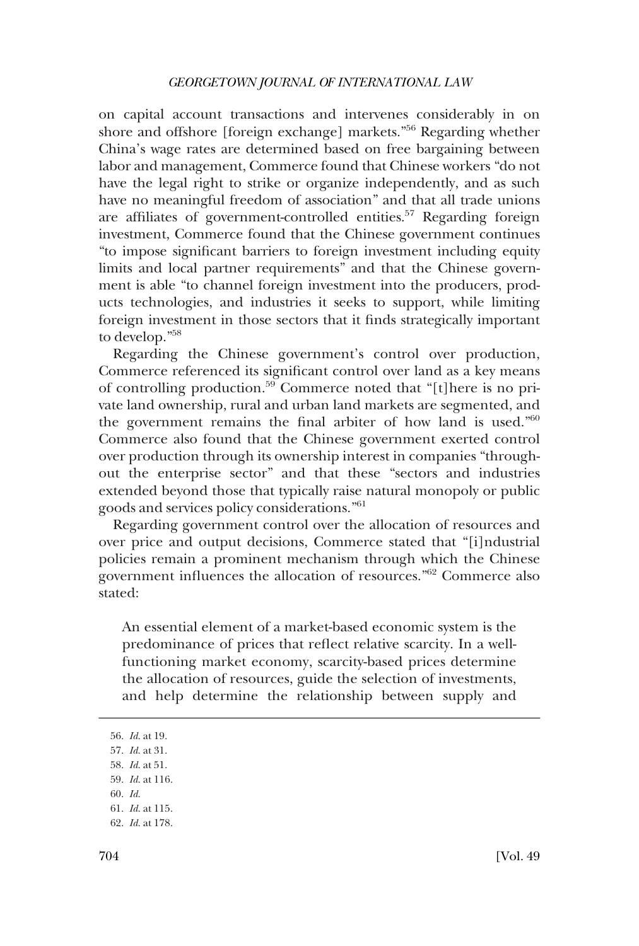on capital account transactions and intervenes considerably in on shore and offshore [foreign exchange] markets."56 Regarding whether China's wage rates are determined based on free bargaining between labor and management, Commerce found that Chinese workers "do not have the legal right to strike or organize independently, and as such have no meaningful freedom of association" and that all trade unions are affiliates of government-controlled entities.<sup>57</sup> Regarding foreign investment, Commerce found that the Chinese government continues "to impose significant barriers to foreign investment including equity limits and local partner requirements" and that the Chinese government is able "to channel foreign investment into the producers, products technologies, and industries it seeks to support, while limiting foreign investment in those sectors that it finds strategically important to develop."58

Regarding the Chinese government's control over production, Commerce referenced its significant control over land as a key means of controlling production.59 Commerce noted that "[t]here is no private land ownership, rural and urban land markets are segmented, and the government remains the final arbiter of how land is used."<sup>60</sup> Commerce also found that the Chinese government exerted control over production through its ownership interest in companies "throughout the enterprise sector" and that these "sectors and industries extended beyond those that typically raise natural monopoly or public goods and services policy considerations."<sup>61</sup>

Regarding government control over the allocation of resources and over price and output decisions, Commerce stated that "[i]ndustrial policies remain a prominent mechanism through which the Chinese government influences the allocation of resources."62 Commerce also stated:

An essential element of a market-based economic system is the predominance of prices that reflect relative scarcity. In a wellfunctioning market economy, scarcity-based prices determine the allocation of resources, guide the selection of investments, and help determine the relationship between supply and

60. *Id*.

<sup>56.</sup> *Id*. at 19.

<sup>57.</sup> *Id*. at 31.

<sup>58.</sup> *Id*. at 51.

<sup>59.</sup> *Id*. at 116.

<sup>61.</sup> *Id*. at 115.

<sup>62.</sup> *Id*. at 178.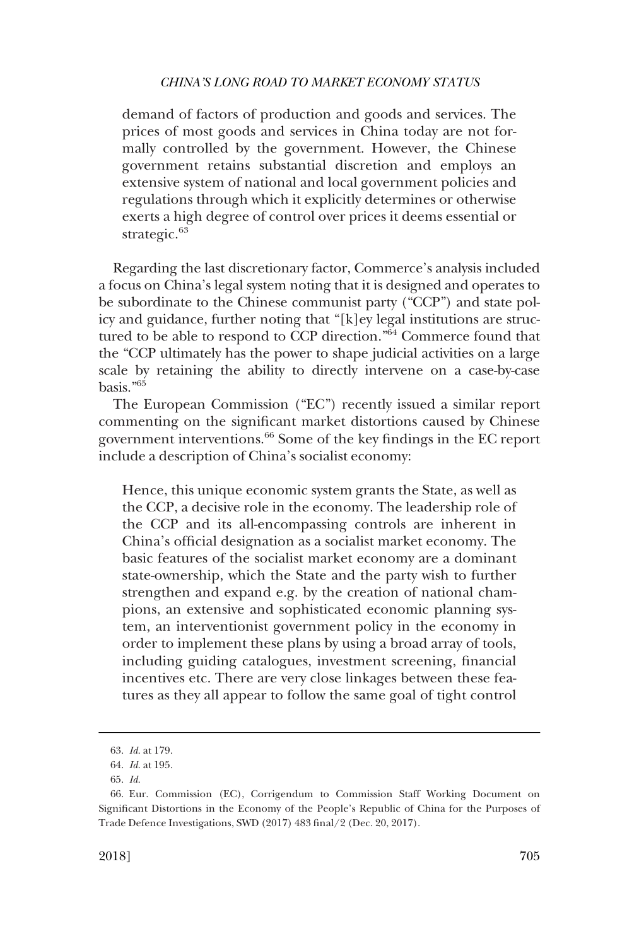demand of factors of production and goods and services. The prices of most goods and services in China today are not formally controlled by the government. However, the Chinese government retains substantial discretion and employs an extensive system of national and local government policies and regulations through which it explicitly determines or otherwise exerts a high degree of control over prices it deems essential or strategic.<sup>63</sup>

Regarding the last discretionary factor, Commerce's analysis included a focus on China's legal system noting that it is designed and operates to be subordinate to the Chinese communist party ("CCP") and state policy and guidance, further noting that "[k]ey legal institutions are structured to be able to respond to CCP direction."64 Commerce found that the "CCP ultimately has the power to shape judicial activities on a large scale by retaining the ability to directly intervene on a case-by-case basis."65

The European Commission ("EC") recently issued a similar report commenting on the significant market distortions caused by Chinese government interventions.66 Some of the key findings in the EC report include a description of China's socialist economy:

Hence, this unique economic system grants the State, as well as the CCP, a decisive role in the economy. The leadership role of the CCP and its all-encompassing controls are inherent in China's official designation as a socialist market economy. The basic features of the socialist market economy are a dominant state-ownership, which the State and the party wish to further strengthen and expand e.g. by the creation of national champions, an extensive and sophisticated economic planning system, an interventionist government policy in the economy in order to implement these plans by using a broad array of tools, including guiding catalogues, investment screening, financial incentives etc. There are very close linkages between these features as they all appear to follow the same goal of tight control

<sup>63.</sup> *Id*. at 179.

<sup>64.</sup> *Id*. at 195.

<sup>65.</sup> *Id*.

<sup>66.</sup> Eur. Commission (EC), Corrigendum to Commission Staff Working Document on Significant Distortions in the Economy of the People's Republic of China for the Purposes of Trade Defence Investigations, SWD (2017) 483 final/2 (Dec. 20, 2017).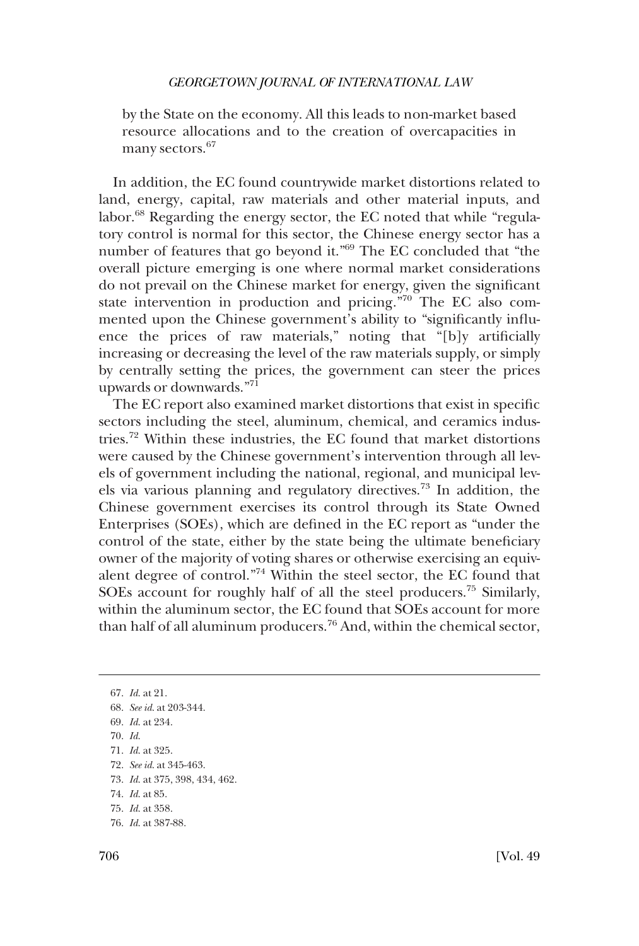by the State on the economy. All this leads to non-market based resource allocations and to the creation of overcapacities in many sectors.<sup>67</sup>

In addition, the EC found countrywide market distortions related to land, energy, capital, raw materials and other material inputs, and labor.<sup>68</sup> Regarding the energy sector, the EC noted that while "regulatory control is normal for this sector, the Chinese energy sector has a number of features that go beyond it."69 The EC concluded that "the overall picture emerging is one where normal market considerations do not prevail on the Chinese market for energy, given the significant state intervention in production and pricing."70 The EC also commented upon the Chinese government's ability to "significantly influence the prices of raw materials," noting that "[b]y artificially increasing or decreasing the level of the raw materials supply, or simply by centrally setting the prices, the government can steer the prices upwards or downwards."71

The EC report also examined market distortions that exist in specific sectors including the steel, aluminum, chemical, and ceramics industries.72 Within these industries, the EC found that market distortions were caused by the Chinese government's intervention through all levels of government including the national, regional, and municipal levels via various planning and regulatory directives.73 In addition, the Chinese government exercises its control through its State Owned Enterprises (SOEs), which are defined in the EC report as "under the control of the state, either by the state being the ultimate beneficiary owner of the majority of voting shares or otherwise exercising an equivalent degree of control."74 Within the steel sector, the EC found that SOEs account for roughly half of all the steel producers.<sup>75</sup> Similarly, within the aluminum sector, the EC found that SOEs account for more than half of all aluminum producers.76 And, within the chemical sector,

76. *Id*. at 387-88.

<sup>67.</sup> *Id*. at 21. 68. *See id*. at 203-344. 69. *Id*. at 234. 70. *Id*. 71. *Id*. at 325. 72. *See id*. at 345-463.

<sup>73.</sup> *Id*. at 375, 398, 434, 462.

<sup>74.</sup> *Id*. at 85.

<sup>75.</sup> *Id*. at 358.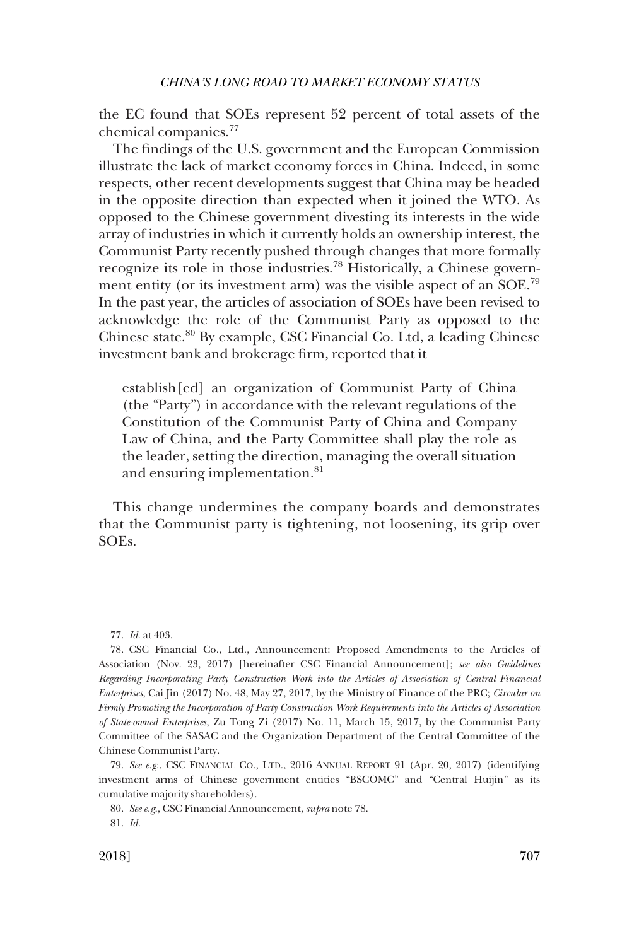the EC found that SOEs represent 52 percent of total assets of the chemical companies.<sup>77</sup>

The findings of the U.S. government and the European Commission illustrate the lack of market economy forces in China. Indeed, in some respects, other recent developments suggest that China may be headed in the opposite direction than expected when it joined the WTO. As opposed to the Chinese government divesting its interests in the wide array of industries in which it currently holds an ownership interest, the Communist Party recently pushed through changes that more formally recognize its role in those industries.78 Historically, a Chinese government entity (or its investment arm) was the visible aspect of an SOE.<sup>79</sup> In the past year, the articles of association of SOEs have been revised to acknowledge the role of the Communist Party as opposed to the Chinese state.80 By example, CSC Financial Co. Ltd, a leading Chinese investment bank and brokerage firm, reported that it

establish[ed] an organization of Communist Party of China (the "Party") in accordance with the relevant regulations of the Constitution of the Communist Party of China and Company Law of China, and the Party Committee shall play the role as the leader, setting the direction, managing the overall situation and ensuring implementation.<sup>81</sup>

This change undermines the company boards and demonstrates that the Communist party is tightening, not loosening, its grip over SOEs.

<sup>77.</sup> *Id*. at 403.

<sup>78.</sup> CSC Financial Co., Ltd., Announcement: Proposed Amendments to the Articles of Association (Nov. 23, 2017) [hereinafter CSC Financial Announcement]; *see also Guidelines Regarding Incorporating Party Construction Work into the Articles of Association of Central Financial Enterprises*, Cai Jin (2017) No. 48, May 27, 2017, by the Ministry of Finance of the PRC; *Circular on Firmly Promoting the Incorporation of Party Construction Work Requirements into the Articles of Association of State-owned Enterprises*, Zu Tong Zi (2017) No. 11, March 15, 2017, by the Communist Party Committee of the SASAC and the Organization Department of the Central Committee of the Chinese Communist Party.

<sup>79.</sup> *See e.g*., CSC FINANCIAL CO., LTD., 2016 ANNUAL REPORT 91 (Apr. 20, 2017) (identifying investment arms of Chinese government entities "BSCOMC" and "Central Huijin" as its cumulative majority shareholders).

<sup>80.</sup> *See e.g*., CSC Financial Announcement, *supra* note 78.

<sup>81.</sup> *Id*.